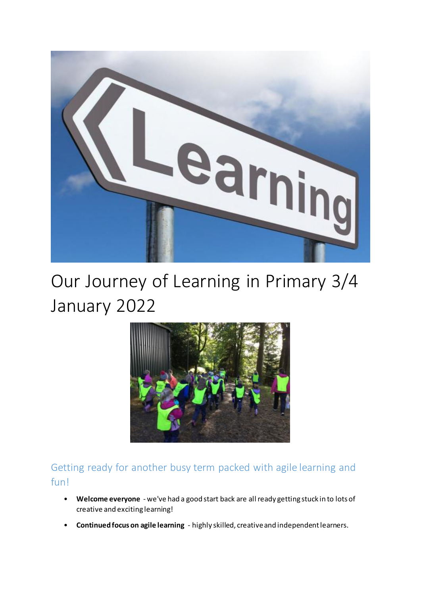

# Our Journey of Learning in Primary 3/4 January 2022



Getting ready for another busy term packed with agile learning and fun!

- **Welcome everyone** we've had a good start back are all ready getting stuck in to lots of creative and exciting learning!
- **Continued focus on agile learning** highly skilled, creative and independent learners.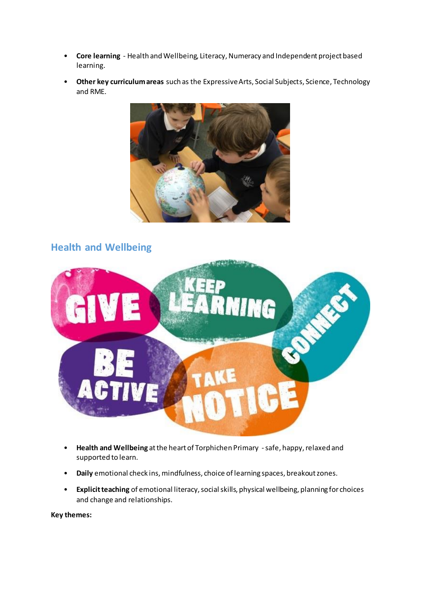- **Core learning** Health and Wellbeing, Literacy, Numeracy and Independent project based learning.
- **Other key curriculum areas** such as the Expressive Arts, Social Subjects, Science, Technology and RME.



## **Health and Wellbeing**



- **Health and Wellbeing** at the heart of Torphichen Primary -safe, happy, relaxed and supported to learn.
- **Daily** emotional check ins, mindfulness, choice of learning spaces, breakout zones.
- **Explicit teaching** of emotional literacy, social skills, physical wellbeing, planning for choices and change and relationships.

**Key themes:**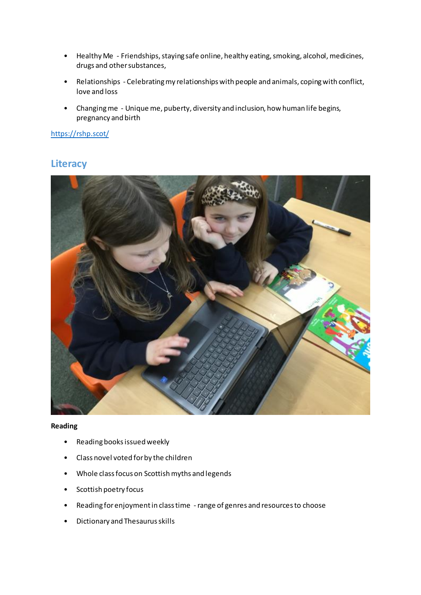- Healthy Me Friendships, staying safe online, healthy eating, smoking, alcohol, medicines, drugs and other substances,
- Relationships Celebrating my relationships with people and animals, coping with conflict, love and loss
- Changing me Unique me, puberty, diversity and inclusion, how human life begins, pregnancy and birth

<https://rshp.scot/>

## **Literacy**



**Reading**

- Reading books issued weekly
- Class novel voted for by the children
- Whole class focus on Scottish myths and legends
- Scottish poetry focus
- Reading for enjoyment in class time -range of genres and resources to choose
- Dictionary and Thesaurus skills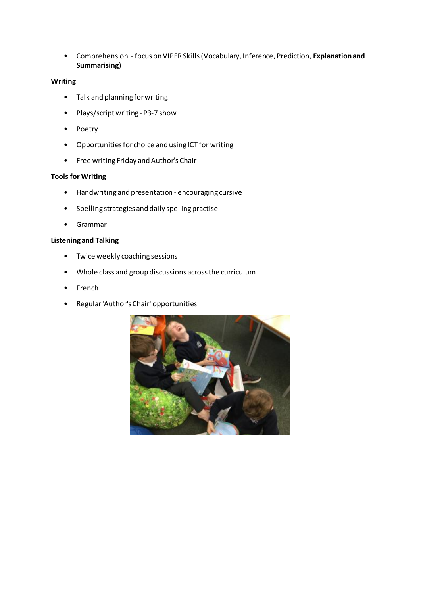• Comprehension - focus on VIPER Skills (Vocabulary, Inference, Prediction, **Explanation and Summarising**)

#### **Writing**

- Talk and planning for writing
- Plays/script writing P3-7 show
- Poetry
- Opportunities for choice and using ICT for writing
- Free writing Friday and Author's Chair

#### **Tools for Writing**

- Handwriting and presentation encouraging cursive
- Spelling strategies and daily spelling practise
- Grammar

#### **Listening and Talking**

- Twice weekly coaching sessions
- Whole class and group discussions across the curriculum
- French
- Regular 'Author's Chair' opportunities

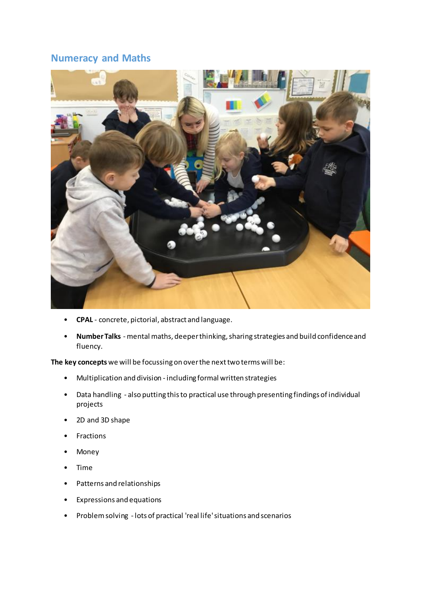## **Numeracy and Maths**



- **CPAL**  concrete, pictorial, abstract and language.
- **Number Talks** mental maths, deeper thinking, sharing strategies and build confidence and fluency.

**The key concepts** we will be focussing on over the next two terms will be:

- Multiplication and division including formal written strategies
- Data handling also putting this to practical use through presenting findings of individual projects
- 2D and 3D shape
- **Fractions**
- Money
- Time
- Patterns and relationships
- Expressions and equations
- Problem solving lots of practical 'real life' situations and scenarios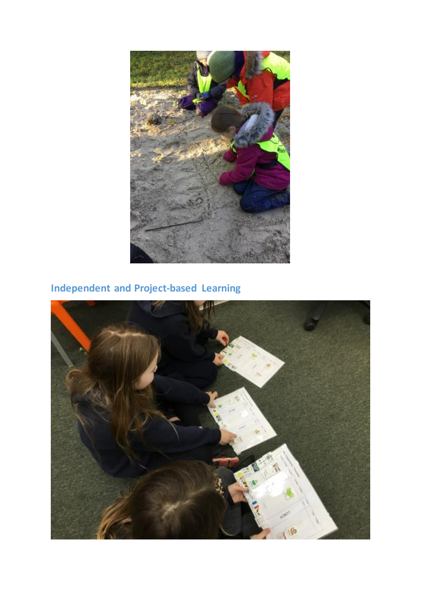

## **Independent and Project-based Learning**

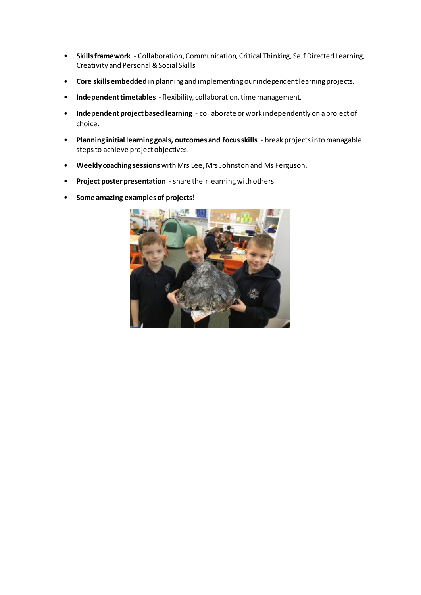- **Skills framework** Collaboration, Communication, Critical Thinking, Self Directed Learning, Creativity and Personal & Social Skills
- **Core skills embedded** in planning and implementing our independent learning projects.
- **Independent timetables**  flexibility, collaboration, time management.
- **Independent project based learning** collaborate or work independently on a project of choice.
- **Planning initial learning goals, outcomes and focus skills** break projects into managable steps to achieve project objectives.
- **Weekly coaching sessions** with Mrs Lee, Mrs Johnston and Ms Ferguson.
- **Project poster presentation**  share their learning with others.
- **Some amazing examples of projects!**

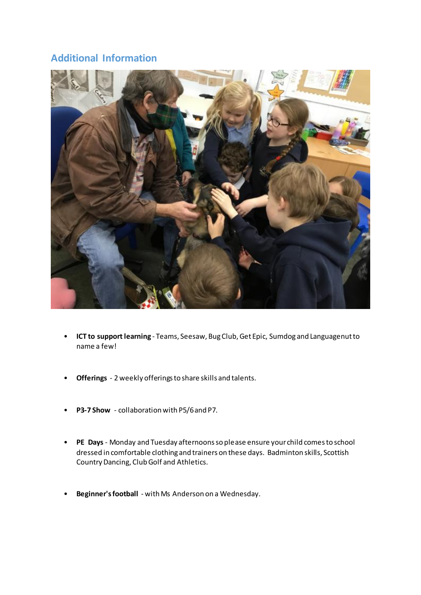## **Additional Information**



- **ICT to support learning**  Teams, Seesaw, Bug Club, Get Epic, Sumdog and Languagenut to name a few!
- **Offerings** 2 weekly offerings to share skills and talents.
- **P3-7 Show** collaboration with P5/6 and P7.
- **PE Days**  Monday and Tuesday afternoons so please ensure your child comes to school dressed in comfortable clothing and trainers on these days. Badminton skills, Scottish Country Dancing, Club Golf and Athletics.
- **Beginner's football** with Ms Anderson on a Wednesday.